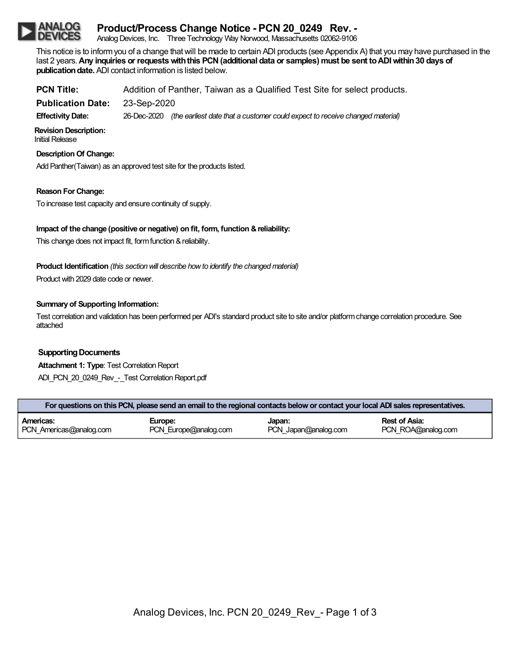# **Product/Process Change Notice - PCN 20\_0249 Rev. -**

Analog Devices, Inc. Three Technology Way Norwood, Massachusetts 02062-9106

This notice is to inform you of a change that will be made to certain ADI products (see Appendix A) that you may have purchased in the last 2 years. **Any inquiries or requests with this PCN (additional data or samples) must be sent to ADI within 30 days of publication date.** ADI contact information is listed below.

| <b>PCN Title:</b>        | Addition of Panther, Taiwan as a Qualified Test Site for select products. |                                                                                          |  |
|--------------------------|---------------------------------------------------------------------------|------------------------------------------------------------------------------------------|--|
| <b>Publication Date:</b> | 23-Sep-2020                                                               |                                                                                          |  |
| <b>Effectivity Date:</b> |                                                                           | 26-Dec-2020 (the earliest date that a customer could expect to receive changed material) |  |

**Revision Description:** Initial Release

**Description Of Change:**

Add Panther(Taiwan) as an approved test site for the products listed.

## **Reason For Change:**

To increase test capacity and ensure continuity of supply.

## **Impact of the change (positive or negative) on fit, form, function & reliability:**

This change does not impact fit, form function & reliability.

## **Product Identification** *(this section will describe how to identify the changed material)*

Product with 2029 date code or newer.

## **Summary of Supporting Information:**

Test correlation and validation has been performed per ADI's standard product site to site and/or platform change correlation procedure. See attached

## **Supporting Documents**

**Attachment 1: Type**: Test Correlation Report ADI\_PCN\_20\_0249\_Rev\_-\_Test Correlation Report.pdf

| For questions on this PCN, please send an email to the regional contacts below or contact your local ADI sales representatives. |                       |                      |                    |  |  |  |
|---------------------------------------------------------------------------------------------------------------------------------|-----------------------|----------------------|--------------------|--|--|--|
| Americas:                                                                                                                       | Europe:               | Japan:               | Rest of Asia:      |  |  |  |
| PCN Americas@analog.com                                                                                                         | PCN Europe@analog.com | PCN Japan@analog.com | PCN ROA@analog.com |  |  |  |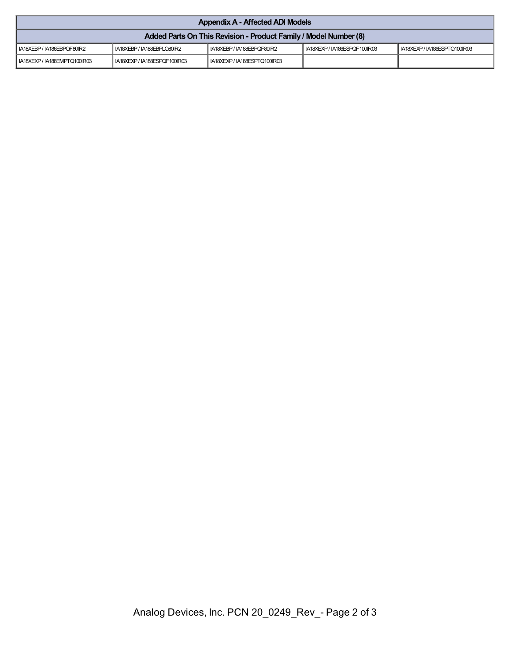| <b>Appendix A - Affected ADI Models</b>                          |                               |                                         |                             |                             |  |  |
|------------------------------------------------------------------|-------------------------------|-----------------------------------------|-----------------------------|-----------------------------|--|--|
| Added Parts On This Revision - Product Family / Model Number (8) |                               |                                         |                             |                             |  |  |
| I IA18XEBP / IA186EBPQF80IR2                                     | I IA18XEBP / IA188EBPLQ80IR2  | <sup>1</sup> IA18XEBP / IA188EBPQF80IR2 | LIA18XEXP/IA186ESPQF100IR03 | LIA18XEXP/IA186ESPTQ100IR03 |  |  |
| IIA18XEXP/IA188EMPTQ100IR03                                      | LIA18XEXP / IA188ESPQF100IR03 | 1 IA18XEXP / IA188ESPTQ100IR03          |                             |                             |  |  |